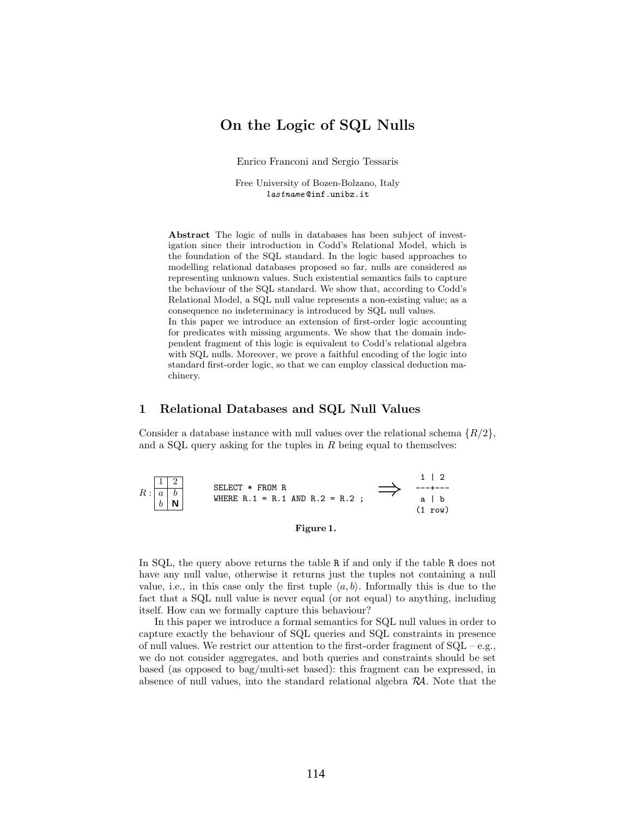# On the Logic of SQL Nulls

Enrico Franconi and Sergio Tessaris

Free University of Bozen-Bolzano, Italy lastname @inf.unibz.it

Abstract The logic of nulls in databases has been subject of investigation since their introduction in Codd's Relational Model, which is the foundation of the SQL standard. In the logic based approaches to modelling relational databases proposed so far, nulls are considered as representing unknown values. Such existential semantics fails to capture the behaviour of the SQL standard. We show that, according to Codd's Relational Model, a SQL null value represents a non-existing value; as a consequence no indeterminacy is introduced by SQL null values. In this paper we introduce an extension of first-order logic accounting for predicates with missing arguments. We show that the domain independent fragment of this logic is equivalent to Codd's relational algebra with SQL nulls. Moreover, we prove a faithful encoding of the logic into standard first-order logic, so that we can employ classical deduction machinery.

#### <span id="page-0-1"></span>1 Relational Databases and SQL Null Values

Consider a database instance with null values over the relational schema  $\{R/2\}$ , and a SQL query asking for the tuples in  $R$  being equal to themselves:



<span id="page-0-0"></span>

In SQL, the query above returns the table R if and only if the table R does not have any null value, otherwise it returns just the tuples not containing a null value, i.e., in this case only the first tuple  $\langle a, b \rangle$ . Informally this is due to the fact that a SQL null value is never equal (or not equal) to anything, including itself. How can we formally capture this behaviour?

In this paper we introduce a formal semantics for SQL null values in order to capture exactly the behaviour of SQL queries and SQL constraints in presence of null values. We restrict our attention to the first-order fragment of  $SQL - e.g.,$ we do not consider aggregates, and both queries and constraints should be set based (as opposed to bag/multi-set based): this fragment can be expressed, in absence of null values, into the standard relational algebra  $R\mathcal{A}$ . Note that the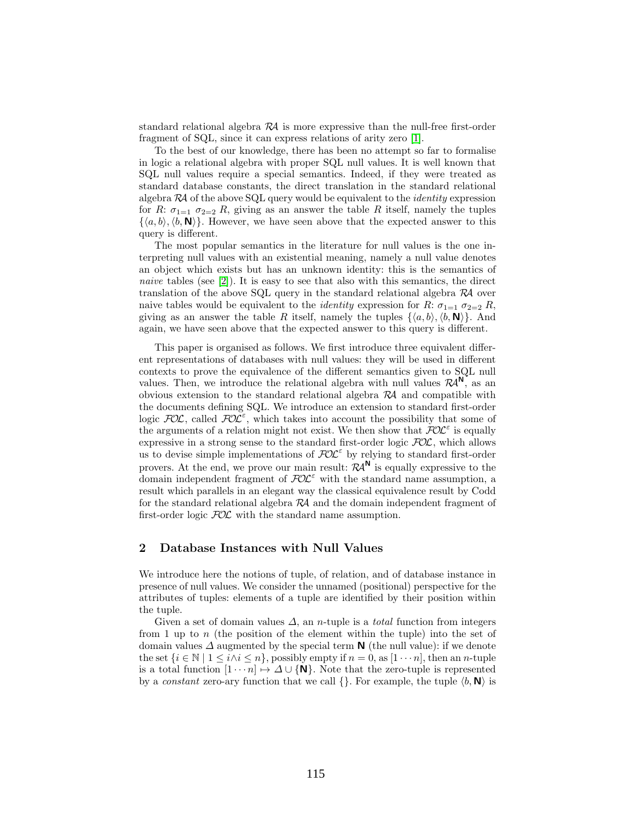standard relational algebra RA is more expressive than the null-free first-order fragment of SQL, since it can express relations of arity zero [\[1\]](#page-14-0).

To the best of our knowledge, there has been no attempt so far to formalise in logic a relational algebra with proper SQL null values. It is well known that SQL null values require a special semantics. Indeed, if they were treated as standard database constants, the direct translation in the standard relational algebra  $R\mathcal{A}$  of the above SQL query would be equivalent to the *identity* expression for R:  $\sigma_{1=1}$   $\sigma_{2=2}$  R, giving as an answer the table R itself, namely the tuples  $\{\langle a, b \rangle, \langle b, \mathbf{N} \rangle\}.$  However, we have seen above that the expected answer to this query is different.

The most popular semantics in the literature for null values is the one interpreting null values with an existential meaning, namely a null value denotes an object which exists but has an unknown identity: this is the semantics of naive tables (see  $[2]$ ). It is easy to see that also with this semantics, the direct translation of the above  $SQL$  query in the standard relational algebra  $\mathcal{R}$  over naive tables would be equivalent to the *identity* expression for  $R: \sigma_{1=1} \sigma_{2=2} R$ , giving as an answer the table R itself, namely the tuples  $\{\langle a, b \rangle, \langle b, \mathbf{N} \rangle\}$ . And again, we have seen above that the expected answer to this query is different.

This paper is organised as follows. We first introduce three equivalent different representations of databases with null values: they will be used in different contexts to prove the equivalence of the different semantics given to SQL null values. Then, we introduce the relational algebra with null values  $\mathcal{R}A^N$ , as an obvious extension to the standard relational algebra  $\mathcal{R}A$  and compatible with the documents defining SQL. We introduce an extension to standard first-order logic  $FOL$ , called  $FOL^{\varepsilon}$ , which takes into account the possibility that some of the arguments of a relation might not exist. We then show that  $\widehat{\text{POL}}^{\varepsilon}$  is equally expressive in a strong sense to the standard first-order logic  $FOL$ , which allows us to devise simple implementations of  $FOL^{\epsilon}$  by relying to standard first-order provers. At the end, we prove our main result:  $\mathcal{R}A^{\mathsf{N}}$  is equally expressive to the domain independent fragment of  $FOL^{\epsilon}$  with the standard name assumption, a result which parallels in an elegant way the classical equivalence result by Codd for the standard relational algebra  $R\mathcal{A}$  and the domain independent fragment of first-order logic  $FOL$  with the standard name assumption.

#### <span id="page-1-0"></span>2 Database Instances with Null Values

We introduce here the notions of tuple, of relation, and of database instance in presence of null values. We consider the unnamed (positional) perspective for the attributes of tuples: elements of a tuple are identified by their position within the tuple.

Given a set of domain values  $\Delta$ , an *n*-tuple is a *total* function from integers from 1 up to n (the position of the element within the tuple) into the set of domain values  $\Delta$  augmented by the special term **N** (the null value): if we denote the set  $\{i \in \mathbb{N} \mid 1 \leq i \wedge i \leq n\}$ , possibly empty if  $n = 0$ , as  $[1 \cdots n]$ , then an *n*-tuple is a total function  $[1 \cdots n] \mapsto \Delta \cup \{N\}$ . Note that the zero-tuple is represented by a *constant* zero-ary function that we call  $\{\}\$ . For example, the tuple  $\langle b, \mathbf{N} \rangle$  is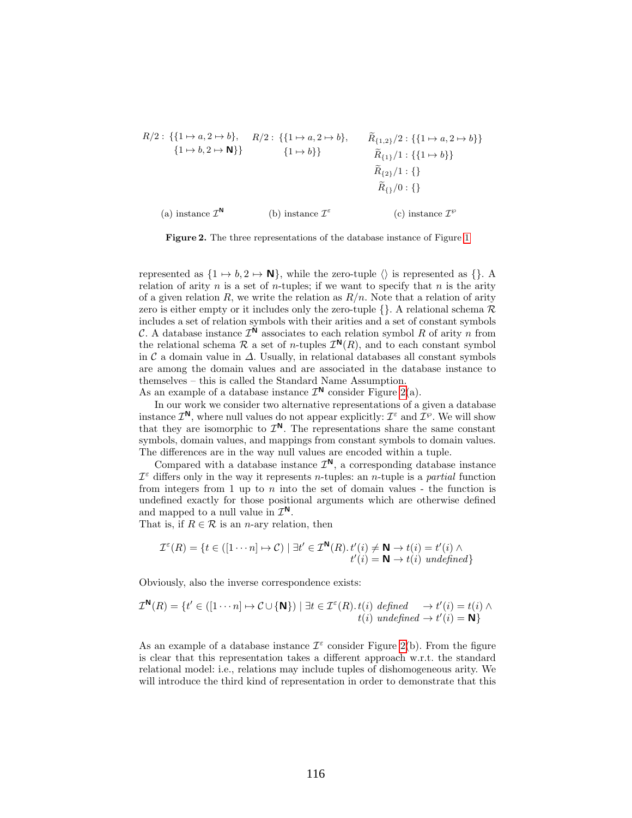$$
R/2: \{\{1 \mapsto a, 2 \mapsto b\}, \quad R/2: \{\{1 \mapsto a, 2 \mapsto b\}, \quad \widetilde{R}_{\{1,2\}}/2: \{\{1 \mapsto a, 2 \mapsto b\}\}\
$$

$$
\{1 \mapsto b, 2 \mapsto \mathbf{N}\}\n\} \qquad \{\mathbf{1} \mapsto b\}\n\qquad\n\widetilde{R}_{\{1\}}/1: \{\{1 \mapsto b\}\}\n\qquad\n\widetilde{R}_{\{2\}}/1: \{\}
$$

$$
\widetilde{R}_{\{1\}}/0: \{\}
$$

$$
(a) instance  $\mathcal{I}^{\mathbf{N}}$ \n(b) instance  $\mathcal{I}^{\varepsilon}$ \n(c) instance  $\mathcal{I}^{\varphi}$
$$

<span id="page-2-0"></span>Figure 2. The three representations of the database instance of Figure [1](#page-0-0)

represented as  $\{1 \mapsto b, 2 \mapsto \mathbb{N}\}\$ , while the zero-tuple  $\langle \rangle$  is represented as  $\{\}$ . A relation of arity n is a set of n-tuples; if we want to specify that n is the arity of a given relation R, we write the relation as  $R/n$ . Note that a relation of arity zero is either empty or it includes only the zero-tuple  $\{\}$ . A relational schema  $\mathcal{R}$ includes a set of relation symbols with their arities and a set of constant symbols C. A database instance  $\mathcal{I}^{\mathbb{N}}$  associates to each relation symbol R of arity n from the relational schema  $\mathcal R$  a set of *n*-tuples  $\mathcal I^{\mathsf{N}}(R)$ , and to each constant symbol in  $\mathcal C$  a domain value in  $\Delta$ . Usually, in relational databases all constant symbols are among the domain values and are associated in the database instance to themselves – this is called the Standard Name Assumption.

As an example of a database instance  $\mathcal{I}^{\mathsf{N}}$  consider Figure [2\(](#page-2-0)a).

In our work we consider two alternative representations of a given a database instance  $\mathcal{I}^{\mathbb{N}}$ , where null values do not appear explicitly:  $\mathcal{I}^{\varepsilon}$  and  $\mathcal{I}^{\varphi}$ . We will show that they are isomorphic to  $\mathcal{I}^N$ . The representations share the same constant symbols, domain values, and mappings from constant symbols to domain values. The differences are in the way null values are encoded within a tuple.

Compared with a database instance  $\mathcal{I}^{\mathsf{N}}$ , a corresponding database instance  $\mathcal{I}^{\varepsilon}$  differs only in the way it represents *n*-tuples: an *n*-tuple is a *partial* function from integers from 1 up to  $n$  into the set of domain values - the function is undefined exactly for those positional arguments which are otherwise defined and mapped to a null value in  $\mathcal{I}^{\mathsf{N}}$ .

That is, if  $R \in \mathcal{R}$  is an *n*-ary relation, then

$$
\mathcal{I}^{\varepsilon}(R) = \{ t \in ([1 \cdots n] \mapsto \mathcal{C}) \mid \exists t' \in \mathcal{I}^{\mathbf{N}}(R) . t'(i) \neq \mathbf{N} \rightarrow t(i) = t'(i) \land t'(i) = \mathbf{N} \rightarrow t(i) \; \text{undefined} \}
$$

Obviously, also the inverse correspondence exists:

$$
\mathcal{I}^{\mathbf{N}}(R) = \{ t' \in ([1 \cdots n] \mapsto \mathcal{C} \cup {\mathbf{N}} \}) \mid \exists t \in \mathcal{I}^{\varepsilon}(R) . t(i) \text{ defined } \rightarrow t'(i) = t(i) \land t(i) \text{ undefined } \rightarrow t'(i) = \mathbf{N} \}
$$

As an example of a database instance  $\mathcal{I}^{\varepsilon}$  consider Figure [2\(](#page-2-0)b). From the figure is clear that this representation takes a different approach w.r.t. the standard relational model: i.e., relations may include tuples of dishomogeneous arity. We will introduce the third kind of representation in order to demonstrate that this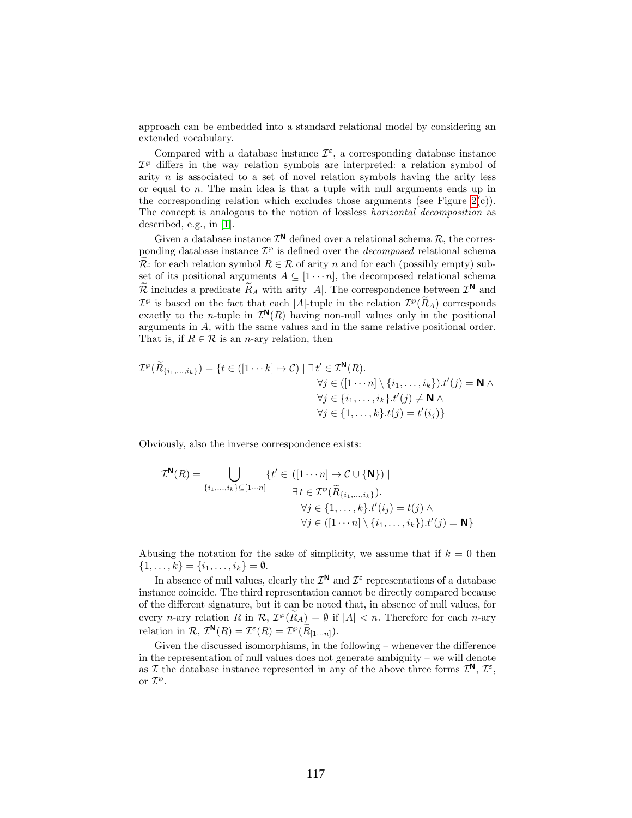approach can be embedded into a standard relational model by considering an extended vocabulary.

Compared with a database instance  $\mathcal{I}^{\varepsilon}$ , a corresponding database instance  $\mathcal{I}^{\varphi}$  differs in the way relation symbols are interpreted: a relation symbol of arity  $n$  is associated to a set of novel relation symbols having the arity less or equal to n. The main idea is that a tuple with null arguments ends up in the corresponding relation which excludes those arguments (see Figure  $2(c)$ ). The concept is analogous to the notion of lossless horizontal decomposition as described, e.g., in [\[1\]](#page-14-0).

Given a database instance  $\mathcal{I}^{\mathbb{N}}$  defined over a relational schema  $\mathcal{R}$ , the corresponding database instance  $\mathcal{I}^{\varphi}$  is defined over the *decomposed* relational schema  $\widetilde{\mathcal{R}}$ : for each relation symbol  $R \in \mathcal{R}$  of arity n and for each (possibly empty) subset of its positional arguments  $A \subseteq [1 \cdots n]$ , the decomposed relational schema  $\widetilde{\mathcal{R}}$  includes a predicate  $\widetilde{R}_A$  with arity |A|. The correspondence between  $\mathcal{I}^N$  and  $\mathcal{I}^{\wp}$  is based on the fact that each |A|-tuple in the relation  $\mathcal{I}^{\wp}(\tilde{R}_A)$  corresponds exactly to the *n*-tuple in  $\mathcal{I}^{\mathbb{N}}(R)$  having non-null values only in the positional arguments in A, with the same values and in the same relative positional order. That is, if  $R \in \mathcal{R}$  is an *n*-ary relation, then

$$
\mathcal{I}^{\wp}(\widetilde{R}_{\{i_1,\ldots,i_k\}}) = \{t \in ([1 \cdots k] \mapsto \mathcal{C}) \mid \exists t' \in \mathcal{I}^{\mathbf{N}}(R). \forall j \in ([1 \cdots n] \setminus \{i_1,\ldots,i_k\}).t'(j) = \mathbf{N} \land \forall j \in \{i_1,\ldots,i_k\}.t'(j) \neq \mathbf{N} \land \forall j \in \{1,\ldots,k\}.t(j) = t'(i_j)\}
$$

Obviously, also the inverse correspondence exists:

$$
\mathcal{I}^{\mathbf{N}}(R) = \bigcup_{\{i_1,\dots,i_k\} \subseteq [1\cdots n]} \{t' \in ([1\cdots n] \mapsto \mathcal{C} \cup \{\mathbf{N}\}) \mid
$$

$$
\exists t \in \mathcal{I}^{\wp}(\widetilde{R}_{\{i_1,\dots,i_k\}}).
$$

$$
\forall j \in \{1,\dots,k\}, t'(i_j) = t(j) \land
$$

$$
\forall j \in ([1\cdots n] \setminus \{i_1,\dots,i_k\}).t'(j) = \mathbf{N}\}
$$

Abusing the notation for the sake of simplicity, we assume that if  $k = 0$  then  $\{1, \ldots, k\} = \{i_1, \ldots, i_k\} = \emptyset.$ 

In absence of null values, clearly the  $\mathcal{I}^{\mathsf{N}}$  and  $\mathcal{I}^{\varepsilon}$  representations of a database instance coincide. The third representation cannot be directly compared because of the different signature, but it can be noted that, in absence of null values, for every *n*-ary relation R in  $\mathcal{R}, \mathcal{I}^{\varphi}(\tilde{R}_{A}) = \emptyset$  if  $|A| < n$ . Therefore for each *n*-ary relation in  $\mathcal{R}, \mathcal{I}^{\mathbf{N}}(R) = \mathcal{I}^{\varepsilon}(R) = \mathcal{I}^{\varphi}(\widetilde{R}_{[1\cdots n]}).$ 

Given the discussed isomorphisms, in the following – whenever the difference in the representation of null values does not generate ambiguity – we will denote as I the database instance represented in any of the above three forms  $\mathcal{I}^{\mathbb{N}}, \mathcal{I}^{\varepsilon}$ , or  $\mathcal{I}^{\wp}$ .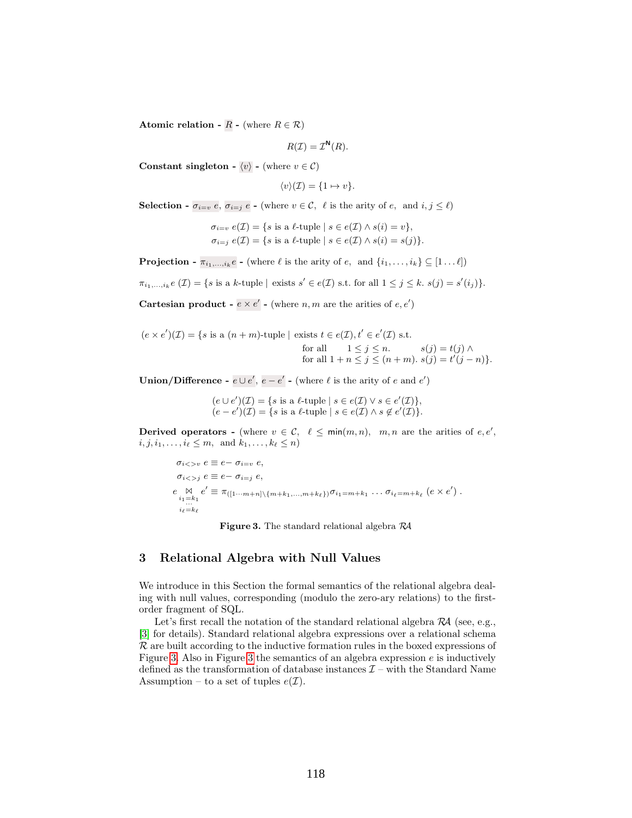Atomic relation -  $R$  - (where  $R \in \mathcal{R}$ )

 $R(\mathcal{I}) = \mathcal{I}^{\mathsf{N}}(R).$ 

Constant singleton -  $\langle v \rangle$  - (where  $v \in \mathcal{C}$ )

$$
\langle v \rangle(\mathcal{I}) = \{1 \mapsto v\}.
$$

**Selection** -  $\sigma_{i=v}$  e,  $\sigma_{i=j}$  e - (where  $v \in \mathcal{C}$ ,  $\ell$  is the arity of e, and  $i, j \leq \ell$ )

$$
\sigma_{i=v} e(\mathcal{I}) = \{ s \text{ is a } \ell \text{-tuple} \mid s \in e(\mathcal{I}) \land s(i) = v \},\
$$

$$
\sigma_{i=j} e(\mathcal{I}) = \{ s \text{ is a } \ell \text{-tuple} \mid s \in e(\mathcal{I}) \land s(i) = s(j) \}.
$$

**Projection** -  $\pi_{i_1,\ldots,i_k}e$  - (where  $\ell$  is the arity of  $e$ , and  $\{i_1,\ldots,i_k\} \subseteq [1 \ldots \ell]$ )

 $\pi_{i_1,\ldots,i_k}e(\mathcal{I}) = \{s \text{ is a } k\text{-tuple} \mid \text{exists } s' \in e(\mathcal{I}) \text{ s.t. for all } 1 \leq j \leq k. \ s(j) = s'(i_j)\}.$ 

**Cartesian product -**  $e \times e'$  - (where *n*, *m* are the arities of  $e, e'$ )

$$
(e \times e')(Z) = \{s \text{ is a } (n+m)\text{-tuple} \mid \text{ exists } t \in e(\mathcal{I}), t' \in e'(\mathcal{I}) \text{ s.t.}
$$
  
for all  $1 \leq j \leq n$ .  
for all  $1 + n \leq j \leq (n+m)$ .  $s(j) = t(j) \land$   
 $j \leq j \leq (n+m)$ .

**Union/Difference** -  $e \cup e'$ ,  $e - e'$  - (where  $\ell$  is the arity of e and  $e'$ )

 $(e \cup e')(\mathcal{I}) = \{s \text{ is a } \ell\text{-tuple} \mid s \in e(\mathcal{I}) \lor s \in e'(\mathcal{I})\},\$  $(e - e')(\mathcal{I}) = \{s \text{ is a } \ell\text{-tuple} \mid s \in e(\mathcal{I}) \land s \notin e'(\mathcal{I})\}.$ 

Derived operators - (where  $v \in \mathcal{C}$ ,  $\ell \leq \min(m, n)$ ,  $m, n$  are the arities of  $e, e',$  $i, j, i_1, \ldots, i_\ell \leq m$ , and  $k_1, \ldots, k_\ell \leq n$ )

$$
\sigma_{i<> v} e \equiv e - \sigma_{i=v} e,
$$
\n
$$
\sigma_{i<> j} e \equiv e - \sigma_{i=j} e,
$$
\n
$$
e \underset{i_1=k_1}{\bowtie} e' \equiv \pi_{([1\cdots m+n]\setminus\{m+k_1,\ldots,m+k_\ell\})} \sigma_{i_1=m+k_1} \ldots \sigma_{i_\ell=m+k_\ell} (e \times e').
$$
\n
$$
e_{i_l=k_\ell}
$$

<span id="page-4-0"></span>Figure 3. The standard relational algebra RA

## 3 Relational Algebra with Null Values

We introduce in this Section the formal semantics of the relational algebra dealing with null values, corresponding (modulo the zero-ary relations) to the firstorder fragment of SQL.

Let's first recall the notation of the standard relational algebra  $\mathcal{R}A$  (see, e.g., [\[3\]](#page-14-2) for details). Standard relational algebra expressions over a relational schema  $\mathcal R$  are built according to the inductive formation rules in the boxed expressions of Figure [3.](#page-4-0) Also in Figure [3](#page-4-0) the semantics of an algebra expression  $e$  is inductively defined as the transformation of database instances  $\mathcal{I}$  – with the Standard Name Assumption – to a set of tuples  $e(\mathcal{I})$ .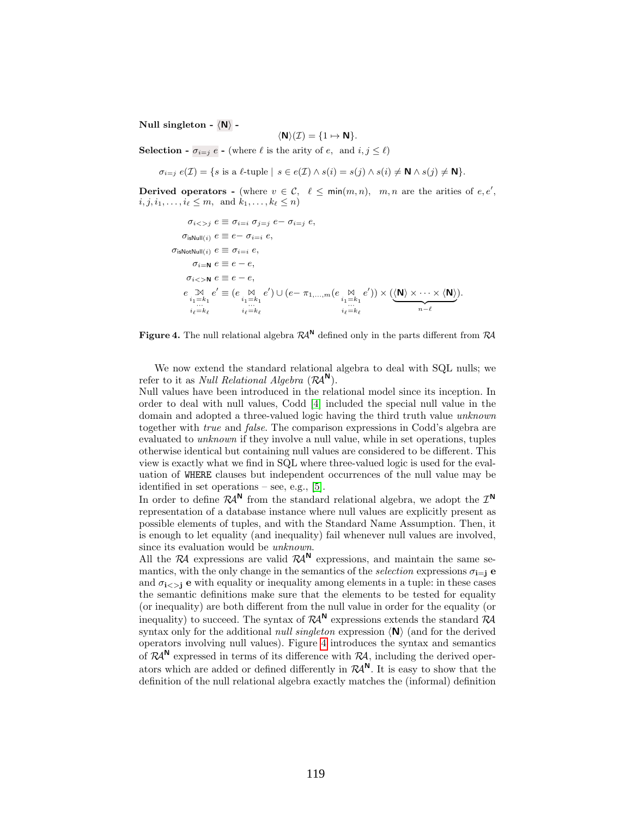Null singleton -  $\langle N \rangle$  -

$$
\langle \mathbf{N} \rangle(\mathcal{I}) = \{1 \mapsto \mathbf{N}\}.
$$

**Selection -**  $\sigma_{i=j} e$  - (where  $\ell$  is the arity of e, and  $i, j \leq \ell$ )

$$
\sigma_{i=j} e(\mathcal{I}) = \{ s \text{ is a } \ell \text{-tuple} \mid s \in e(\mathcal{I}) \land s(i) = s(j) \land s(i) \neq \mathbf{N} \land s(j) \neq \mathbf{N} \}.
$$

Derived operators - (where  $v \in \mathcal{C}$ ,  $\ell \leq \min(m, n)$ ,  $m, n$  are the arities of  $e, e',$  $i, j, i_1, \ldots, i_\ell \leq m$ , and  $k_1, \ldots, k_\ell \leq n$ )

```
\sigma_{i \leq j} e \equiv \sigma_{i=i} \sigma_{j=j} e - \sigma_{i=j} e\sigma_{\text{isNull}(i)} e \equiv e - \sigma_{i=i} e,
\sigma_{\text{isNotNull}(i)} e \equiv \sigma_{i=i} e,
            \sigma_{i=N} e \equiv e - e,
         \sigma_{i>>N} e \equiv e - e,
        e \underset{i_1=k_1}{\mathbb{M}}i_{\ell}=k_{\ell}e' \equiv (e \underset{i_1=k_1}{\bowtie} \atop \sum_{i_\ell=k_\ell}e') \cup (e-\pi_{1,...,m}(e \underset{i_{1}=k_{1}}{\overset{\bowtie}{\sum}}_{i_{1}=k_{k}})(e')) \times (\langle N \rangle \times \cdots \times \langle N \ranglen-\ell).
```
<span id="page-5-0"></span>Figure 4. The null relational algebra  $\mathcal{R}A^{N}$  defined only in the parts different from  $\mathcal{R}A$ 

We now extend the standard relational algebra to deal with SQL nulls; we refer to it as *Null Relational Algebra*  $(\mathcal{R}A^{\mathsf{N}})$ .

Null values have been introduced in the relational model since its inception. In order to deal with null values, Codd [\[4\]](#page-14-3) included the special null value in the domain and adopted a three-valued logic having the third truth value unknown together with true and false. The comparison expressions in Codd's algebra are evaluated to unknown if they involve a null value, while in set operations, tuples otherwise identical but containing null values are considered to be different. This view is exactly what we find in SQL where three-valued logic is used for the evaluation of WHERE clauses but independent occurrences of the null value may be identified in set operations – see, e.g., [\[5\]](#page-14-4).

In order to define  $\mathcal{R}A^{\mathsf{N}}$  from the standard relational algebra, we adopt the  $\mathcal{I}^{\mathsf{N}}$ representation of a database instance where null values are explicitly present as possible elements of tuples, and with the Standard Name Assumption. Then, it is enough to let equality (and inequality) fail whenever null values are involved, since its evaluation would be unknown.

All the RA expressions are valid  $R\mathcal{A}^N$  expressions, and maintain the same semantics, with the only change in the semantics of the selection expressions  $\sigma_{i=1}$  e and  $\sigma_{i\leq j}$  e with equality or inequality among elements in a tuple: in these cases the semantic definitions make sure that the elements to be tested for equality (or inequality) are both different from the null value in order for the equality (or inequality) to succeed. The syntax of  $\mathcal{R}A^{\mathsf{N}}$  expressions extends the standard  $\mathcal{R}A$ syntax only for the additional *null singleton* expression  $\langle N \rangle$  (and for the derived operators involving null values). Figure [4](#page-5-0) introduces the syntax and semantics of  $\mathcal{R}A^{N}$  expressed in terms of its difference with  $\mathcal{R}A$ , including the derived operators which are added or defined differently in  $\mathcal{R}A^{\mathsf{N}}$ . It is easy to show that the definition of the null relational algebra exactly matches the (informal) definition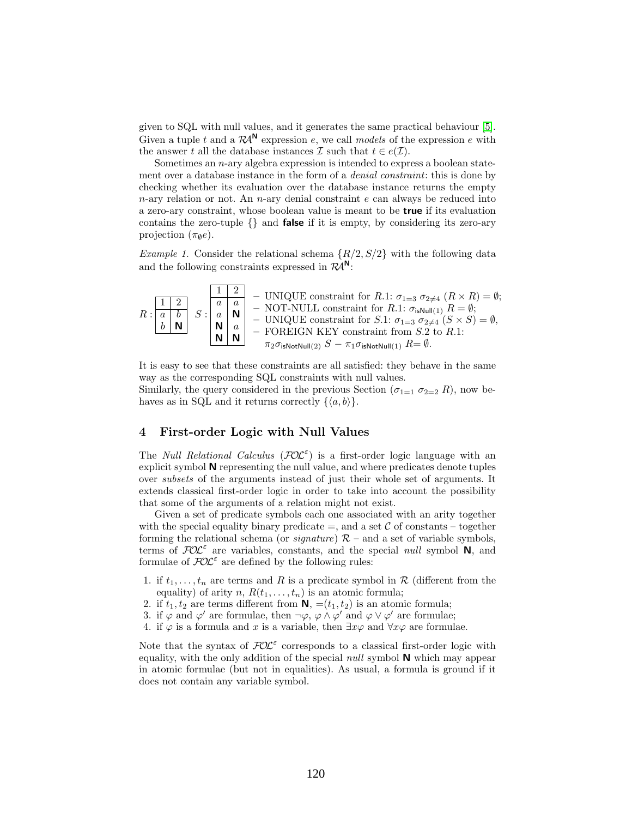given to SQL with null values, and it generates the same practical behaviour [\[5\]](#page-14-4). Given a tuple t and a  $\mathcal{R}A^{\mathsf{N}}$  expression e, we call models of the expression e with the answer t all the database instances  $\mathcal I$  such that  $t \in e(\mathcal I)$ .

Sometimes an  $n$ -ary algebra expression is intended to express a boolean statement over a database instance in the form of a denial constraint: this is done by checking whether its evaluation over the database instance returns the empty  $n$ -ary relation or not. An  $n$ -ary denial constraint  $e$  can always be reduced into a zero-ary constraint, whose boolean value is meant to be true if its evaluation contains the zero-tuple  $\{\}\$  and **false** if it is empty, by considering its zero-ary projection  $(\pi_{\emptyset}e)$ .

<span id="page-6-0"></span>*Example 1.* Consider the relational schema  $\{R/2, S/2\}$  with the following data and the following constraints expressed in  $\mathcal{R}A^N$ :

R : 1 2 a b b N S : 1 2 a a a N N a N N – UNIQUE constraint for R.1: σ1=3 σ26=4 (R × R) = ∅; – NOT-NULL constraint for R.1: σisNull(1) R = ∅; – UNIQUE constraint for S.1: σ1=3 σ26=4 (S × S) = ∅, – FOREIGN KEY constraint from S.2 to R.1: π2σisNotNull(2) S − π1σisNotNull(1) R= ∅.

It is easy to see that these constraints are all satisfied: they behave in the same way as the corresponding SQL constraints with null values.

Similarly, the query considered in the previous Section ( $\sigma_{1=1} \sigma_{2=2} R$ ), now behaves as in SQL and it returns correctly  $\{\langle a, b \rangle\}.$ 

# 4 First-order Logic with Null Values

The *Null Relational Calculus* ( $\mathcal{FOL}^{\varepsilon}$ ) is a first-order logic language with an explicit symbol N representing the null value, and where predicates denote tuples over subsets of the arguments instead of just their whole set of arguments. It extends classical first-order logic in order to take into account the possibility that some of the arguments of a relation might not exist.

Given a set of predicate symbols each one associated with an arity together with the special equality binary predicate  $=$ , and a set C of constants – together forming the relational schema (or *signature*)  $\mathcal{R}$  – and a set of variable symbols, terms of  $FOL^{\epsilon}$  are variables, constants, and the special *null* symbol N, and formulae of  $FOL^{\varepsilon}$  are defined by the following rules:

- 1. if  $t_1, \ldots, t_n$  are terms and R is a predicate symbol in R (different from the equality) of arity n,  $R(t_1, \ldots, t_n)$  is an atomic formula;
- 2. if  $t_1, t_2$  are terms different from  $\mathbf{N}$ ,  $=(t_1, t_2)$  is an atomic formula;
- 3. if  $\varphi$  and  $\varphi'$  are formulae, then  $\neg \varphi$ ,  $\varphi \wedge \varphi'$  and  $\varphi \vee \varphi'$  are formulae;
- 4. if  $\varphi$  is a formula and x is a variable, then  $\exists x \varphi$  and  $\forall x \varphi$  are formulae.

Note that the syntax of  $FOL^{\varepsilon}$  corresponds to a classical first-order logic with equality, with the only addition of the special *null* symbol  $N$  which may appear in atomic formulae (but not in equalities). As usual, a formula is ground if it does not contain any variable symbol.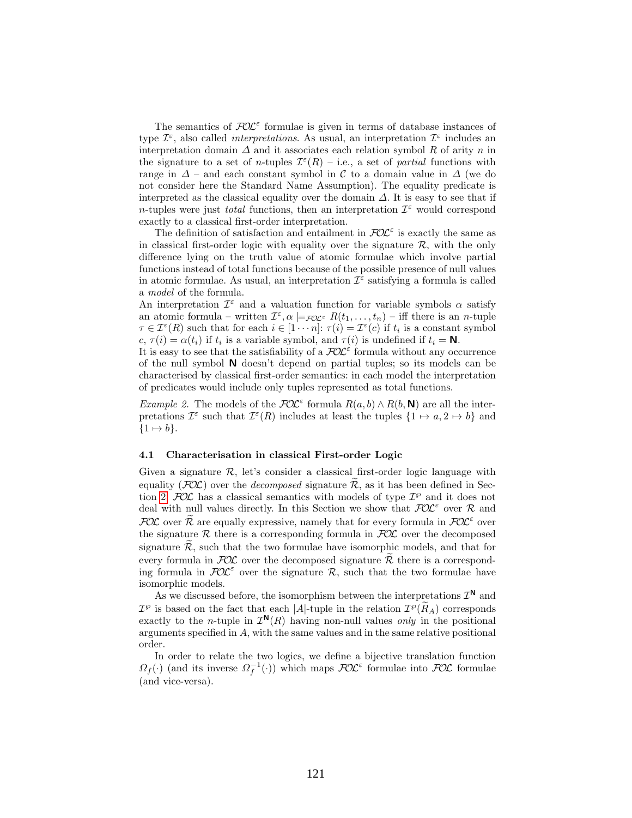The semantics of  $FOL^{\epsilon}$  formulae is given in terms of database instances of type  $\mathcal{I}^{\varepsilon}$ , also called *interpretations*. As usual, an interpretation  $\mathcal{I}^{\varepsilon}$  includes an interpretation domain  $\Delta$  and it associates each relation symbol R of arity n in the signature to a set of *n*-tuples  $\mathcal{I}^{\varepsilon}(R)$  – i.e., a set of *partial* functions with range in  $\Delta$  – and each constant symbol in C to a domain value in  $\Delta$  (we do not consider here the Standard Name Assumption). The equality predicate is interpreted as the classical equality over the domain  $\Delta$ . It is easy to see that if n-tuples were just *total* functions, then an interpretation  $\mathcal{I}^{\varepsilon}$  would correspond exactly to a classical first-order interpretation.

The definition of satisfaction and entailment in  $\mathcal{FOL}^{\varepsilon}$  is exactly the same as in classical first-order logic with equality over the signature  $\mathcal{R}$ , with the only difference lying on the truth value of atomic formulae which involve partial functions instead of total functions because of the possible presence of null values in atomic formulae. As usual, an interpretation  $\mathcal{I}^{\varepsilon}$  satisfying a formula is called a model of the formula.

An interpretation  $\mathcal{I}^{\varepsilon}$  and a valuation function for variable symbols  $\alpha$  satisfy an atomic formula – written  $\mathcal{I}^{\varepsilon}, \alpha \models_{\mathcal{FOL}^{\varepsilon}} R(t_1, \ldots, t_n)$  – iff there is an *n*-tuple  $\tau \in \mathcal{I}^{\varepsilon}(R)$  such that for each  $i \in [1 \cdots n]$ :  $\tau(i) = \mathcal{I}^{\varepsilon}(c)$  if  $t_i$  is a constant symbol  $c, \tau(i) = \alpha(t_i)$  if  $t_i$  is a variable symbol, and  $\tau(i)$  is undefined if  $t_i = \mathbf{N}$ .

It is easy to see that the satisfiability of a  $\mathcal{FOL}^{\varepsilon}$  formula without any occurrence of the null symbol N doesn't depend on partial tuples; so its models can be characterised by classical first-order semantics: in each model the interpretation of predicates would include only tuples represented as total functions.

*Example 2.* The models of the  $FOL^{\epsilon}$  formula  $R(a, b) \wedge R(b, \mathbf{N})$  are all the interpretations  $\mathcal{I}^{\varepsilon}$  such that  $\mathcal{I}^{\varepsilon}(R)$  includes at least the tuples  $\{1 \mapsto a, 2 \mapsto b\}$  and  $\{1 \mapsto b\}.$ 

#### <span id="page-7-0"></span>4.1 Characterisation in classical First-order Logic

Given a signature  $\mathcal{R}$ , let's consider a classical first-order logic language with equality ( $FOL$ ) over the *decomposed* signature  $\widetilde{\mathcal{R}}$ , as it has been defined in Sec-tion [2;](#page-1-0)  $FOL$  has a classical semantics with models of type  $\mathcal{I}^{\varphi}$  and it does not deal with null values directly. In this Section we show that  $\mathcal{FOL}^{\varepsilon}$  over R and FOL over  $\widetilde{\mathcal{R}}$  are equally expressive, namely that for every formula in  $\mathcal{FOL}^{\varepsilon}$  over the signature  $R$  there is a corresponding formula in  $FOL$  over the decomposed signature  $\mathcal{R}$ , such that the two formulae have isomorphic models, and that for every formula in  $FOL$  over the decomposed signature R there is a corresponding formula in  $FOL^{\varepsilon}$  over the signature R, such that the two formulae have isomorphic models.

As we discussed before, the isomorphism between the interpretations  $\mathcal{I}^{\mathbb{N}}$  and  $\mathcal{I}^{\varphi}$  is based on the fact that each |A|-tuple in the relation  $\mathcal{I}^{\varphi}(\tilde{R}_{A})$  corresponds exactly to the *n*-tuple in  $\mathcal{I}^{\mathbb{N}}(R)$  having non-null values *only* in the positional arguments specified in A, with the same values and in the same relative positional order.

In order to relate the two logics, we define a bijective translation function  $\Omega_f(\cdot)$  (and its inverse  $\Omega_f^{-1}(\cdot)$ ) which maps  $\mathcal{FOL}^{\varepsilon}$  formulae into  $\mathcal{FOL}$  formulae (and vice-versa).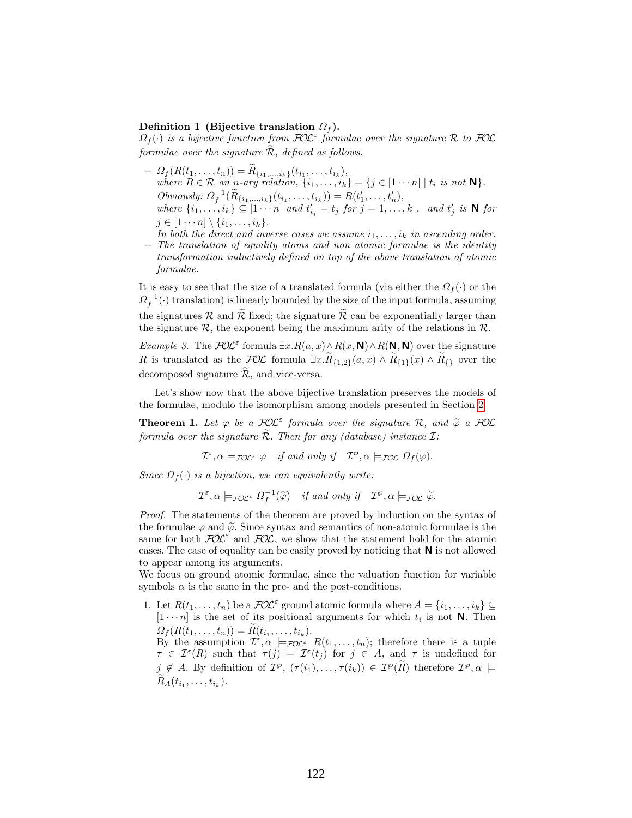#### Definition 1 (Bijective translation  $\Omega_f$ ).

 $\Omega_f(\cdot)$  is a bijective function from  $\mathcal{FOL}^{\varepsilon}$  formulae over the signature R to  $\mathcal{FOL}$ formulae over the signature  $\widetilde{\mathcal{R}}$ , defined as follows.

- $-P_{f}(R(t_1,...,t_n)) = R_{\{i_1,...,i_k\}}(t_{i_1},...,t_{i_k}),$ where  $R \in \mathcal{R}$  an n-ary relation,  $\{i_1, \ldots, i_k\} = \{j \in [1 \cdots n] \mid t_i \text{ is not } N\}.$ Obviously:  $\Omega_f^{-1}(\tilde{R}_{\{i_1,...,i_k\}}(t_{i_1},...,t_{i_k})) = R(t'_1,...,t'_n),$ where  $\{i_1, \ldots, i_k\} \subseteq [1 \cdots n]$  and  $t'_{i_j} = t_j$  for  $j = 1, \ldots, k$ , and  $t'_j$  is N for  $j \in [1 \cdots n] \setminus \{i_1, \ldots, i_k\}.$
- In both the direct and inverse cases we assume  $i_1, \ldots, i_k$  in ascending order. – The translation of equality atoms and non atomic formulae is the identity transformation inductively defined on top of the above translation of atomic formulae.

It is easy to see that the size of a translated formula (via either the  $\Omega_f(\cdot)$ ) or the  $\Omega_f^{-1}(\cdot)$  translation) is linearly bounded by the size of the input formula, assuming the signatures R and  $\widetilde{\mathcal{R}}$  fixed; the signature  $\widetilde{\mathcal{R}}$  can be exponentially larger than the signature  $\mathcal R$ , the exponent being the maximum arity of the relations in  $\mathcal R$ .

*Example 3.* The  $FOL^{\epsilon}$  formula  $\exists x. R(a,x) \wedge R(x, \mathbf{N}) \wedge R(\mathbf{N}, \mathbf{N})$  over the signature R is translated as the  $\mathcal{FOL}$  formula  $\exists x. R_{\{1,2\}}(a,x) \wedge R_{\{1\}}(x) \wedge R_{\{\}}$  over the decomposed signature  $\widetilde{\mathcal{R}}$ , and vice-versa.

Let's show now that the above bijective translation preserves the models of the formulae, modulo the isomorphism among models presented in Section [2.](#page-1-0)

<span id="page-8-0"></span>**Theorem 1.** Let  $\varphi$  be a  $\mathcal{FOL}^{\varepsilon}$  formula over the signature  $\mathcal{R}$ , and  $\widetilde{\varphi}$  a  $\mathcal{FOL}$ <br>formula over the signature  $\widetilde{\mathcal{R}}$ . Then for any (database) instance  $\mathcal{T}_{\varepsilon}$ formula over the signature  $\widetilde{\mathcal{R}}$ . Then for any (database) instance  $\mathcal{I}$ :

 $\mathcal{I}^{\varepsilon}, \alpha \models_{\mathcal{FOL}^{\varepsilon}} \varphi$  if and only if  $\mathcal{I}^{\varphi}, \alpha \models_{\mathcal{FOL}} \Omega_{f}(\varphi)$ .

Since  $\Omega_f(\cdot)$  is a bijection, we can equivalently write:

 $\mathcal{I}^{\varepsilon}, \alpha \models_{\mathcal{FOL}^{\varepsilon}} \Omega_{f}^{-1}(\widetilde{\varphi})$  if and only if  $\mathcal{I}^{\varphi}, \alpha \models_{\mathcal{FOL}} \widetilde{\varphi}$ .

Proof. The statements of the theorem are proved by induction on the syntax of the formulae  $\varphi$  and  $\tilde{\varphi}$ . Since syntax and semantics of non-atomic formulae is the same for both  $FOL^{\varepsilon}$  and  $FOL$ , we show that the statement hold for the atomic cases. The case of equality can be easily proved by noticing that N is not allowed to appear among its arguments.

We focus on ground atomic formulae, since the valuation function for variable symbols  $\alpha$  is the same in the pre- and the post-conditions.

1. Let  $R(t_1,\ldots,t_n)$  be a  $\mathcal{FOL}^{\varepsilon}$  ground atomic formula where  $A = \{i_1,\ldots,i_k\} \subseteq$  $[1 \cdots n]$  is the set of its positional arguments for which  $t_i$  is not **N**. Then  $\Omega_f(R(t_1,\ldots,t_n)) = R(t_{i_1},\ldots,t_{i_k}).$ By the assumption  $\mathcal{I}^{\varepsilon}, \alpha \models_{\mathcal{FOL}^{\varepsilon}} R(t_1,\ldots,t_n);$  therefore there is a tuple  $\tau \in \mathcal{I}^{\varepsilon}(R)$  such that  $\tau(j) = \mathcal{I}^{\varepsilon}(t_j)$  for  $j \in A$ , and  $\tau$  is undefined for  $j \notin A$ . By definition of  $\mathcal{I}^{\wp}$ ,  $(\tau(i_1), \ldots, \tau(i_k)) \in \mathcal{I}^{\wp}(\tilde{R})$  therefore  $\mathcal{I}^{\wp}, \alpha \models$  $R_A(t_{i_1},...,t_{i_k}).$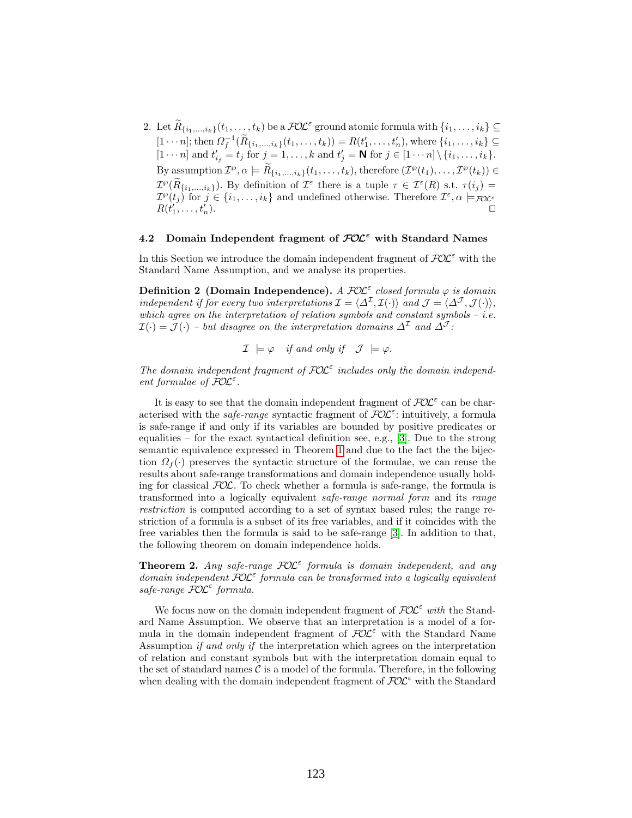2. Let  $\widetilde{R}_{\{i_1,\ldots,i_k\}}(t_1,\ldots,t_k)$  be a  $\mathcal{FOL}^{\varepsilon}$  ground atomic formula with  $\{i_1,\ldots,i_k\}\subseteq$  $[1 \cdots n]$ ; then  $\Omega_f^{-1}(\widetilde{R}_{\{i_1,\ldots,i_k\}}(t_1,\ldots,t_k)) = R(t'_1,\ldots,t'_n)$ , where  $\{i_1,\ldots,i_k\} \subseteq$  $[1 \cdots n]$  and  $t'_{i_j} = t_j$  for  $j = 1, ..., k$  and  $t'_{j} = \mathbf{N}$  for  $j \in [1 \cdots n] \setminus \{i_1, ..., i_k\}.$ By assumption  $\mathcal{I}^{\wp}, \alpha \models \tilde{R}_{\{i_1,\dots,i_k\}}(t_1,\dots,t_k)$ , therefore  $(\mathcal{I}^{\wp}(t_1),\dots,\mathcal{I}^{\wp}(t_k)) \in$  $\mathcal{I}^{\varphi}(\tilde{R}_{\{i_1,\ldots,i_k\}})$ . By definition of  $\mathcal{I}^{\varepsilon}$  there is a tuple  $\tau \in \mathcal{I}^{\varepsilon}(R)$  s.t.  $\tau(i_j) =$  $\mathcal{I}^{\varphi}(t_j)$  for  $j \in \{i_1,\ldots,i_k\}$  and undefined otherwise. Therefore  $\mathcal{I}^{\varepsilon}, \alpha \models_{\mathcal{FOL}^{\varepsilon}}$  $R(t'_1,\ldots,t'_n)$ ).  $\Box$ 

# 4.2 Domain Independent fragment of  $FOL^{\epsilon}$  with Standard Names

In this Section we introduce the domain independent fragment of  $FOL^{\varepsilon}$  with the Standard Name Assumption, and we analyse its properties.

Definition 2 (Domain Independence). A  $\mathcal{FOL}^{\varepsilon}$  closed formula  $\varphi$  is domain independent if for every two interpretations  $\mathcal{I} = \langle \Delta^{\mathcal{I}}, \mathcal{I}(\cdot) \rangle$  and  $\mathcal{J} = \langle \Delta^{\mathcal{J}}, \mathcal{J}(\cdot) \rangle$ , which agree on the interpretation of relation symbols and constant symbols –  $i.e.$  $\mathcal{I}(\cdot) = \mathcal{J}(\cdot)$  – but disagree on the interpretation domains  $\Delta^{\mathcal{I}}$  and  $\Delta^{\mathcal{J}}$ :

$$
\mathcal{I} \models \varphi
$$
 if and only if  $\mathcal{J} \models \varphi$ .

The domain independent fragment of  $FOL^{\epsilon}$  includes only the domain independent formulae of  $\overline{\text{FOL}}^{\varepsilon}$ .

It is easy to see that the domain independent fragment of  $FOL<sup>\epsilon</sup>$  can be characterised with the *safe-range* syntactic fragment of  $\tilde{\mathcal{F}}OL^{\varepsilon}$ : intuitively, a formula is safe-range if and only if its variables are bounded by positive predicates or equalities – for the exact syntactical definition see, e.g., [\[3\]](#page-14-2). Due to the strong semantic equivalence expressed in Theorem [1](#page-8-0) and due to the fact the the bijection  $\Omega_f(\cdot)$  preserves the syntactic structure of the formulae, we can reuse the results about safe-range transformations and domain independence usually holding for classical  $FOL$ . To check whether a formula is safe-range, the formula is transformed into a logically equivalent safe-range normal form and its range restriction is computed according to a set of syntax based rules; the range restriction of a formula is a subset of its free variables, and if it coincides with the free variables then the formula is said to be safe-range [\[3\]](#page-14-2). In addition to that, the following theorem on domain independence holds.

**Theorem 2.** Any safe-range  $FOL^{\varepsilon}$  formula is domain independent, and any domain independent  $\widehat{\mathcal{FOL}}^{\varepsilon}$  formula can be transformed into a logically equivalent safe-range  $\overline{\text{{\rm FOL}}}^{\varepsilon}$  formula.

We focus now on the domain independent fragment of  $\mathcal{FOL}^{\varepsilon}$  with the Standard Name Assumption. We observe that an interpretation is a model of a formula in the domain independent fragment of  $FOL^{\epsilon}$  with the Standard Name Assumption if and only if the interpretation which agrees on the interpretation of relation and constant symbols but with the interpretation domain equal to the set of standard names  $\mathcal C$  is a model of the formula. Therefore, in the following when dealing with the domain independent fragment of  $FOL^{\epsilon}$  with the Standard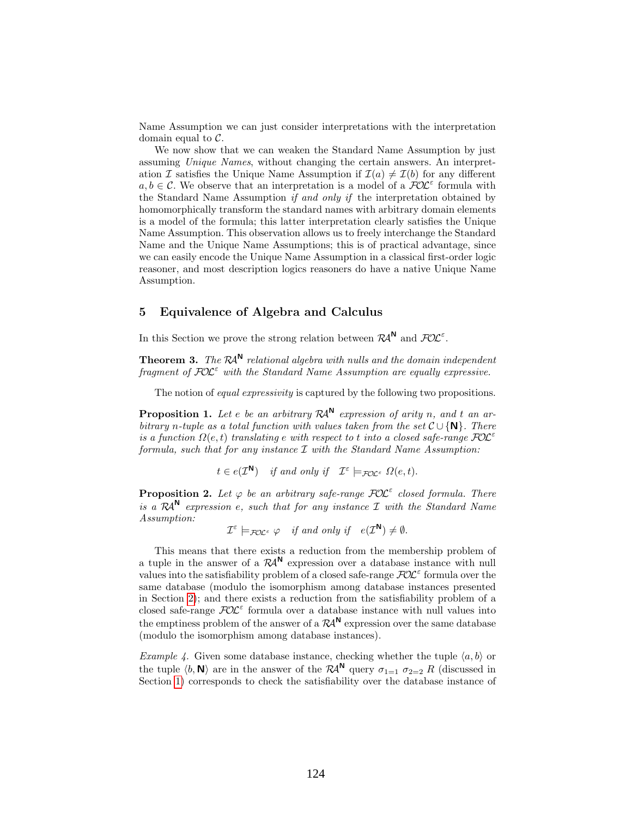Name Assumption we can just consider interpretations with the interpretation domain equal to  $\mathcal{C}$ .

We now show that we can weaken the Standard Name Assumption by just assuming Unique Names, without changing the certain answers. An interpretation I satisfies the Unique Name Assumption if  $\mathcal{I}(a) \neq \mathcal{I}(b)$  for any different  $a, b \in \mathcal{C}$ . We observe that an interpretation is a model of a  $\mathcal{FOL}^{\varepsilon}$  formula with the Standard Name Assumption if and only if the interpretation obtained by homomorphically transform the standard names with arbitrary domain elements is a model of the formula; this latter interpretation clearly satisfies the Unique Name Assumption. This observation allows us to freely interchange the Standard Name and the Unique Name Assumptions; this is of practical advantage, since we can easily encode the Unique Name Assumption in a classical first-order logic reasoner, and most description logics reasoners do have a native Unique Name Assumption.

# 5 Equivalence of Algebra and Calculus

In this Section we prove the strong relation between  $\mathcal{R}A^N$  and  $\mathcal{FOL}^{\varepsilon}$ .

**Theorem 3.** The  $\mathcal{R}A^{N}$  relational algebra with nulls and the domain independent fragment of  $\mathcal{FOL}^{\varepsilon}$  with the Standard Name Assumption are equally expressive.

The notion of *equal expressivity* is captured by the following two propositions.

<span id="page-10-0"></span>**Proposition 1.** Let e be an arbitrary  $\mathcal{R}A^{N}$  expression of arity n, and t an arbitrary n-tuple as a total function with values taken from the set  $\mathcal{C} \cup \{N\}$ . There is a function  $\Omega(e,t)$  translating e with respect to t into a closed safe-range  $FOL^{\varepsilon}$ formula, such that for any instance  $\mathcal I$  with the Standard Name Assumption:

 $t \in e(\mathcal{I}^{\mathbf{N}})$  if and only if  $\mathcal{I}^{\varepsilon} \models_{\mathcal{FOL}^{\varepsilon}} \Omega(e,t)$ .

<span id="page-10-1"></span>**Proposition 2.** Let  $\varphi$  be an arbitrary safe-range  $\mathcal{FOL}^{\varepsilon}$  closed formula. There is a  $\mathcal{R}A^{\mathsf{N}}$  expression e, such that for any instance  $\mathcal I$  with the Standard Name Assumption:

 $\mathcal{I}^{\varepsilon} \models_{\mathcal{FOL}^{\varepsilon}} \varphi \quad \text{if and only if} \quad e(\mathcal{I}^{\mathbf{N}}) \neq \emptyset.$ 

This means that there exists a reduction from the membership problem of a tuple in the answer of a  $\mathcal{R}A^N$  expression over a database instance with null values into the satisfiability problem of a closed safe-range  $\mathcal{FOL}^{\varepsilon}$  formula over the same database (modulo the isomorphism among database instances presented in Section [2\)](#page-1-0); and there exists a reduction from the satisfiability problem of a closed safe-range  $FOL^{\varepsilon}$  formula over a database instance with null values into the emptiness problem of the answer of a  $\mathcal{R}A^{\mathsf{N}}$  expression over the same database (modulo the isomorphism among database instances).

Example 4. Given some database instance, checking whether the tuple  $\langle a, b \rangle$  or the tuple  $\langle b, \mathbf{N} \rangle$  are in the answer of the  $\mathcal{R}A^{\mathbf{N}}$  query  $\sigma_{1=1}$   $\sigma_{2=2}$  R (discussed in Section [1\)](#page-0-1) corresponds to check the satisfiability over the database instance of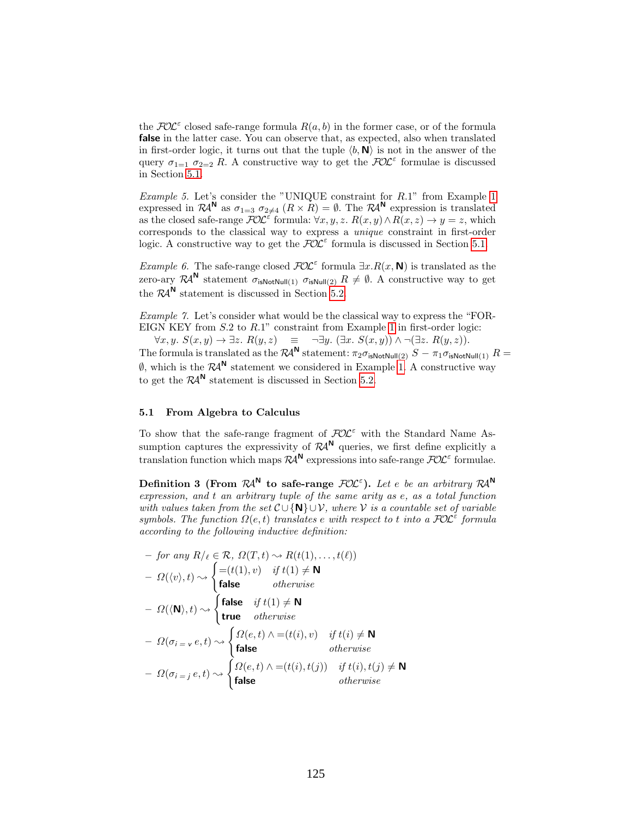the  $FOL^{\varepsilon}$  closed safe-range formula  $R(a, b)$  in the former case, or of the formula false in the latter case. You can observe that, as expected, also when translated in first-order logic, it turns out that the tuple  $\langle b, \mathbf{N} \rangle$  is not in the answer of the query  $\sigma_{1=1}$   $\sigma_{2=2}$  R. A constructive way to get the  $\mathcal{FOL}^{\varepsilon}$  formulae is discussed in Section [5.1.](#page-11-0)

Example 5. Let's consider the "UNIQUE constraint for R.1" from Example [1](#page-6-0) expressed in  $\mathcal{R}A^N$  as  $\sigma_{1=3}$   $\sigma_{2\neq 4}$   $(R \times R) = \emptyset$ . The  $\mathcal{R}A^N$  expression is translated as the closed safe-range  $\mathcal{FOL}^{\varepsilon}$  formula:  $\forall x, y, z$ .  $R(x, y) \wedge R(x, z) \rightarrow y = z$ , which corresponds to the classical way to express a unique constraint in first-order logic. A constructive way to get the  $FOL^{\varepsilon}$  formula is discussed in Section [5.1.](#page-11-0)

*Example 6.* The safe-range closed  $FOL^{\epsilon}$  formula  $\exists x.R(x, N)$  is translated as the zero-ary  $\mathcal{R}A^{\mathsf{N}}$  statement  $\sigma_{\mathsf{isNotNull}(1)}$   $\sigma_{\mathsf{isNull}(2)}$   $R \neq \emptyset$ . A constructive way to get the  $\mathcal{R}A^{\mathsf{N}}$  statement is discussed in Section [5.2.](#page-12-0)

Example 7. Let's consider what would be the classical way to express the "FOR-EIGN KEY from S.2 to R.1" constraint from Example [1](#page-6-0) in first-order logic:

 $\forall x, y. S(x, y)$  →  $\exists z. R(y, z) \equiv \neg \exists y. (\exists x. S(x, y)) \land \neg (\exists z. R(y, z)).$ The formula is translated as the  $\mathcal{R}A^{\mathsf{N}}$  statement:  $\pi_2\sigma_{\mathsf{isNotNull}(2)}$   $S-\pi_1\sigma_{\mathsf{isNotNull}(1)}$   $R=$  $\emptyset$ , which is the  $\mathcal{R}A^{\mathsf{N}}$  statement we considered in Example [1.](#page-6-0) A constructive way to get the  $\mathcal{R}A^{\mathsf{N}}$  statement is discussed in Section [5.2.](#page-12-0)

#### <span id="page-11-0"></span>5.1 From Algebra to Calculus

To show that the safe-range fragment of  $FOL^{\varepsilon}$  with the Standard Name Assumption captures the expressivity of  $\mathcal{R}A^N$  queries, we first define explicitly a translation function which maps  $R\mathcal{A}^{\mathsf{N}}$  expressions into safe-range  $\mathcal{FOL}^{\varepsilon}$  formulae.

<span id="page-11-1"></span>Definition 3 (From  $\mathcal{R}A^{N}$  to safe-range  $\mathcal{FOL}^{\varepsilon}$ ). Let e be an arbitrary  $\mathcal{R}A^{N}$ expression, and t an arbitrary tuple of the same arity as  $e$ , as a total function with values taken from the set  $\mathcal{C} \cup \{N\} \cup \mathcal{V}$ , where  $\mathcal{V}$  is a countable set of variable symbols. The function  $\Omega(e,t)$  translates e with respect to t into a  $\mathcal{FOL}^{\varepsilon}$  formula according to the following inductive definition:

$$
- \text{ for any } R/\ell \in \mathcal{R}, \Omega(T, t) \rightsquigarrow R(t(1), \dots, t(\ell))
$$
  
\n
$$
- \Omega(\langle v \rangle, t) \rightsquigarrow \begin{cases} = (t(1), v) & \text{if } t(1) \neq \mathbf{N} \\ \text{false} & \text{otherwise} \end{cases}
$$
  
\n
$$
- \Omega(\langle \mathbf{N} \rangle, t) \rightsquigarrow \begin{cases} \text{false} & \text{if } t(1) \neq \mathbf{N} \\ \text{true} & \text{otherwise} \end{cases}
$$
  
\n
$$
- \Omega(\sigma_{i} = v e, t) \rightsquigarrow \begin{cases} \Omega(e, t) \land = (t(i), v) & \text{if } t(i) \neq \mathbf{N} \\ \text{false} & \text{otherwise} \end{cases}
$$
  
\n
$$
- \Omega(\sigma_{i} = j e, t) \rightsquigarrow \begin{cases} \Omega(e, t) \land = (t(i), t(j)) & \text{if } t(i), t(j) \neq \mathbf{N} \\ \text{false} & \text{otherwise} \end{cases}
$$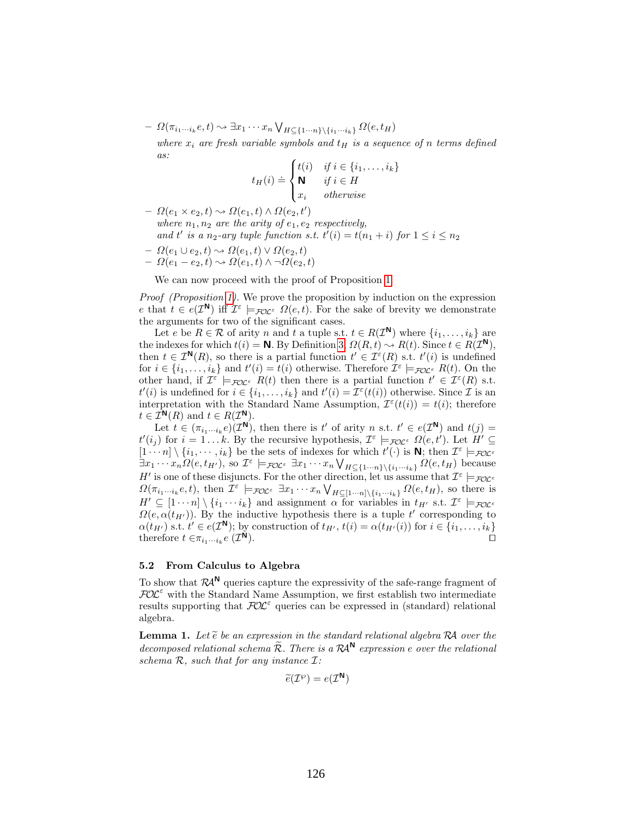$- \Omega(\pi_{i_1\cdots i_k}e,t) \rightarrow \exists x_1\cdots x_n \bigvee_{H \subseteq \{1\cdots n\} \setminus \{i_1\cdots i_k\}} \Omega(e,t_H)$ 

where  $x_i$  are fresh variable symbols and  $t_H$  is a sequence of n terms defined as:

$$
t_H(i) \doteq \begin{cases} t(i) & \text{if } i \in \{i_1, \dots, i_k\} \\ \mathbf{N} & \text{if } i \in H \\ x_i & \text{otherwise} \end{cases}
$$

 $- \Omega(e_1 \times e_2, t) \sim \Omega(e_1, t) \wedge \Omega(e_2, t')$ where  $n_1, n_2$  are the arity of  $e_1, e_2$  respectively, and t' is a n<sub>2</sub>-ary tuple function s.t.  $t'(i) = t(n_1 + i)$  for  $1 \le i \le n_2$ 

$$
- \Omega(e_1 \cup e_2, t) \rightsquigarrow \Omega(e_1, t) \vee \Omega(e_2, t) - \Omega(e_1 - e_2, t) \rightsquigarrow \Omega(e_1, t) \wedge \neg \Omega(e_2, t)
$$

We can now proceed with the proof of Proposition [1.](#page-10-0)

Proof (Proposition [1\)](#page-10-0). We prove the proposition by induction on the expression e that  $t \in e(\mathcal{I}^{\mathbb{N}})$  iff  $\mathcal{I}^{\varepsilon} \models_{\mathcal{FOL}^{\varepsilon}} \Omega(e,t)$ . For the sake of brevity we demonstrate the arguments for two of the significant cases.

Let e be  $R \in \mathcal{R}$  of arity n and t a tuple s.t.  $t \in R(\mathcal{I}^{\mathbf{N}})$  where  $\{i_1, \ldots, i_k\}$  are the indexes for which  $t(i) = \mathbb{N}$ . By Definition [3,](#page-11-1)  $\Omega(R, t) \sim R(t)$ . Since  $t \in R(\mathcal{I}^{\mathbb{N}})$ , then  $t \in \mathcal{I}^{\mathbf{N}}(R)$ , so there is a partial function  $t' \in \mathcal{I}^{\varepsilon}(R)$  s.t.  $t'(i)$  is undefined for  $i \in \{i_1, \ldots, i_k\}$  and  $t'(i) = t(i)$  otherwise. Therefore  $\mathcal{I}^{\varepsilon} \models_{\mathcal{FOC}^{\varepsilon}} R(t)$ . On the other hand, if  $\mathcal{I}^{\varepsilon} \models_{\mathcal{FOL}^{\varepsilon}} R(t)$  then there is a partial function  $t' \in \mathcal{I}^{\varepsilon}(R)$  s.t.  $t'(i)$  is undefined for  $i \in \{i_1, \ldots, i_k\}$  and  $t'(i) = \mathcal{I}^{\varepsilon}(t(i))$  otherwise. Since  $\mathcal{I}$  is an interpretation with the Standard Name Assumption,  $\mathcal{I}^{\epsilon}(t(i)) = t(i)$ ; therefore  $t \in \mathcal{I}^{\mathsf{N}}(R)$  and  $t \in R(\mathcal{I}^{\mathsf{N}})$ .

Let  $t \in (\pi_{i_1\cdots i_k}e)(\mathcal{I}^{\mathbf{N}})$ , then there is  $t'$  of arity n s.t.  $t' \in e(\mathcal{I}^{\mathbf{N}})$  and  $t(j)$  $t'(i_j)$  for  $i = 1...k$ . By the recursive hypothesis,  $\mathcal{I}^{\varepsilon} \models_{\mathcal{FOL}^{\varepsilon}} \Omega(e, t')$ . Let  $H' \subseteq$  $[1 \cdots n] \setminus \{i_1, \cdots, i_k\}$  be the sets of indexes for which  $t'(\cdot)$  is **N**; then  $\mathcal{I}^{\varepsilon} \models_{\mathcal{FOC}^{\varepsilon}}$  $\exists x_1 \cdots x_n \Omega(e, t_{H'})$ , so  $\mathcal{I}^{\varepsilon} \models_{\mathcal{FOL}^{\varepsilon}} \exists x_1 \cdots x_n \bigvee_{H \subseteq \{1 \cdots n\} \setminus \{i_1 \cdots i_k\}} \Omega(e, t_H)$  because H' is one of these disjuncts. For the other direction, let us assume that  $\mathcal{I}^{\varepsilon} \models_{\mathcal{FOL}^{\varepsilon}}$  $\Omega(\pi_{i_1\cdots i_k}e,t)$ , then  $\mathcal{I}^{\varepsilon} \models_{\mathcal{FOC}^{\varepsilon}} \exists x_1\cdots x_n \bigvee_{H \subseteq [1\cdots n] \setminus \{i_1\cdots i_k\}} \Omega(e,t_H)$ , so there is  $H' \subseteq [1 \cdots n] \setminus \{i_1 \cdots i_k\}$  and assignment  $\alpha$  for variables in  $t_{H'}$  s.t.  $\mathcal{I}^{\varepsilon} \models_{\mathcal{FOL}^{\varepsilon}}$  $\Omega(e, \alpha(t_{H'}))$ . By the inductive hypothesis there is a tuple t' corresponding to  $\alpha(t_{H'})$  s.t.  $t' \in e(\mathcal{I}^{\mathbf{N}})$ ; by construction of  $t_{H'}$ ,  $t(i) = \alpha(t_{H'}(i))$  for  $i \in \{i_1, \ldots, i_k\}$ therefore  $t \in \pi_{i_1 \cdots i_k} e \mathcal{I}$  $\mathsf{N}$ ).

### <span id="page-12-0"></span>5.2 From Calculus to Algebra

To show that  $\mathcal{R}A^{\mathsf{N}}$  queries capture the expressivity of the safe-range fragment of  $FOL^{\varepsilon}$  with the Standard Name Assumption, we first establish two intermediate results supporting that  $FOL^{\varepsilon}$  queries can be expressed in (standard) relational algebra.

<span id="page-12-1"></span>**Lemma 1.** Let  $\widetilde{e}$  be an expression in the standard relational algebra RA over the decomposed relational schema  $\widetilde{\mathcal{R}}$ . There is a  $\mathcal{R}^{\mathsf{A}}$  expression e over the relational schema  $R$ , such that for any instance  $I$ :

$$
\widetilde{e}(\mathcal{I}^{\wp})=e(\mathcal{I}^{\mathbf{N}})
$$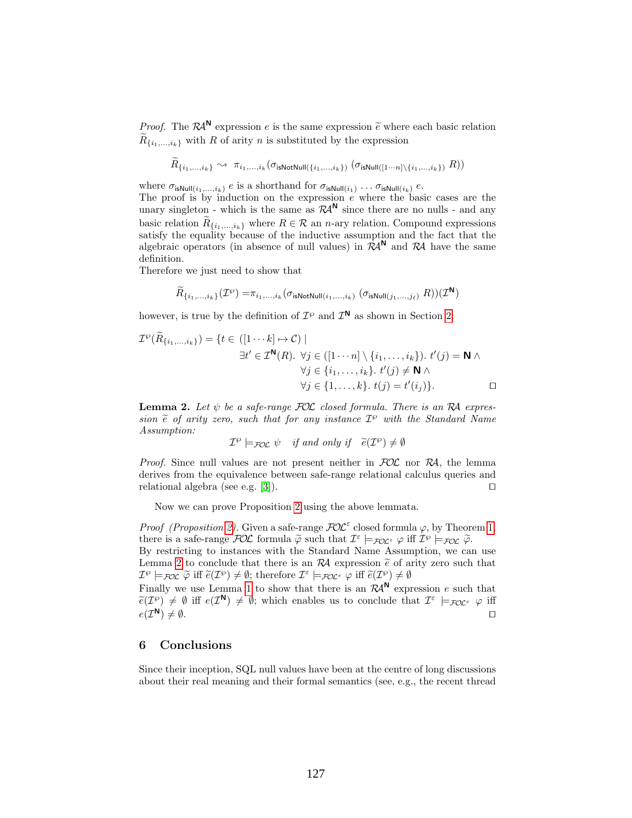*Proof.* The  $\mathcal{R}^{\mathsf{N}}$  expression e is the same expression  $\tilde{e}$  where each basic relation  $\tilde{p}$  $R_{\{i_1,\ldots,i_k\}}$  with R of arity n is substituted by the expression

$$
\widetilde{R}_{\{i_1,\ldots,i_k\}} \rightsquigarrow \pi_{i_1,\ldots,i_k}(\sigma_{\mathsf{isNotNull}(\{i_1,\ldots,i_k\})}\;(\sigma_{\mathsf{isNull}([1\cdots n]\setminus \{i_1,\ldots,i_k\})}\;R))
$$

where  $\sigma_{\text{isNull}(i_1,\ldots,i_k)}$  e is a shorthand for  $\sigma_{\text{isNull}(i_1)} \ldots \sigma_{\text{isNull}(i_k)}$  e.

The proof is by induction on the expression  $e$  where the basic cases are the unary singleton - which is the same as  $\mathcal{R}A^{\mathsf{N}}$  since there are no nulls - and any basic relation  $R_{\{i_1,\ldots,i_k\}}$  where  $R \in \mathcal{R}$  an *n*-ary relation. Compound expressions satisfy the equality because of the inductive assumption and the fact that the algebraic operators (in absence of null values) in  $\mathcal{R}A^N$  and  $\mathcal{R}A$  have the same definition.

Therefore we just need to show that

$$
\widetilde{R}_{\{i_1,\ldots, i_k\}}(\mathcal{I}^{\wp}) = \pi_{i_1,\ldots, i_k}(\sigma_{\text{isNotNull}(i_1,\ldots, i_k)}\; (\sigma_{\text{isNull}(j_1,\ldots, j_\ell)}\; R))(\mathcal{I}^{\text{N}})
$$

however, is true by the definition of  $\mathcal{I}^{\wp}$  and  $\mathcal{I}^{\mathbb{N}}$  as shown in Section [2:](#page-1-0)

$$
\mathcal{I}^{\wp}(\widetilde{R}_{\{i_1,\ldots,i_k\}}) = \{t \in ([1 \cdots k] \mapsto \mathcal{C}) \mid
$$
  
\n
$$
\exists t' \in \mathcal{I}^{\mathbf{N}}(R). \forall j \in ([1 \cdots n] \setminus \{i_1,\ldots,i_k\}). t'(j) = \mathbf{N} \land
$$
  
\n
$$
\forall j \in \{i_1,\ldots,i_k\}. t'(j) \neq \mathbf{N} \land
$$
  
\n
$$
\forall j \in \{1,\ldots,k\}. t(j) = t'(i_j)\}.
$$

<span id="page-13-0"></span>**Lemma 2.** Let  $\psi$  be a safe-range  $FOC$  closed formula. There is an RA expression  $\tilde{e}$  of arity zero, such that for any instance  $\mathcal{I}^{\wp}$  with the Standard Name Assumption:

 $\mathcal{I}^{\wp}\models_{\mathcal{FOL}} \psi$  if and only if  $\widetilde{e}(\mathcal{I}^{\wp})\neq\emptyset$ 

*Proof.* Since null values are not present neither in  $FOL$  nor RA, the lemma derives from the equivalence between safe-range relational calculus queries and relational algebra (see e.g. [\[3\]](#page-14-2)).  $\square$ 

Now we can prove Proposition [2](#page-10-1) using the above lemmata.

*Proof (Proposition [2\)](#page-10-1)*. Given a safe-range  $FOL^{\varepsilon}$  closed formula  $\varphi$ , by Theorem [1,](#page-8-0) there is a safe-range  $\mathcal{FOL}$  formula  $\tilde{\varphi}$  such that  $\mathcal{I}^{\varepsilon} \models_{\mathcal{FOL}^{\varepsilon}} \varphi$  iff  $\mathcal{I}^{\varphi} \models_{\mathcal{FOL}^{\varepsilon}} \tilde{\varphi}$ .<br>By restricting to instances with the Standard Name Assumption, we can

By restricting to instances with the Standard Name Assumption, we can use Lemma [2](#page-13-0) to conclude that there is an  $\mathcal{R}A$  expression  $\tilde{e}$  of arity zero such that  $\mathcal{I}^{\varphi} \models_{\mathcal{FOL}} \widetilde{\varphi}$  iff  $\widetilde{e}(\mathcal{I}^{\varphi}) \neq \emptyset$ ; therefore  $\mathcal{I}^{\varepsilon} \models_{\mathcal{FOL}^{\varepsilon}} \varphi$  iff  $\widetilde{e}(\mathcal{I}^{\varphi}) \neq \emptyset$ 

Finally we use Lemma [1](#page-12-1) to show that there is an  $\mathcal{R}A^{\mathsf{N}}$  expression e such that  $\widetilde{e}(\mathcal{I}^{\wp}) \neq \emptyset$  iff  $e(\mathcal{I}^{\mathbf{N}}) \neq \emptyset$ ; which enables us to conclude that  $\mathcal{I}^{\varepsilon} \models_{\mathcal{FOL}^{\varepsilon}} \varphi$  iff  $e(\mathcal{I}^{\mathsf{N}}) \neq \emptyset.$  $\mathsf{N}$ )  $\neq \emptyset$ .

## 6 Conclusions

Since their inception, SQL null values have been at the centre of long discussions about their real meaning and their formal semantics (see, e.g., the recent thread